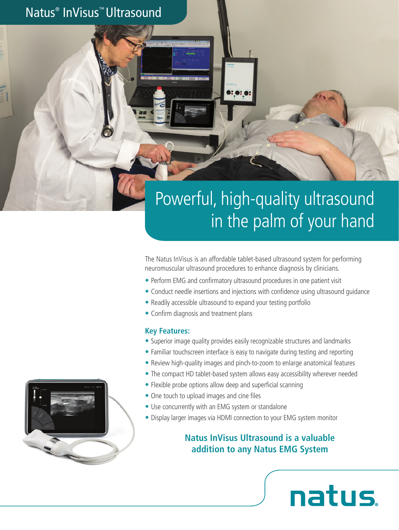Natus® InVisus™ Ultrasound

# Powerful, high-quality ultrasound in the palm of your hand

The Natus InVisus is an affordable tablet-based ultrasound system for performing neuromuscular ultrasound procedures to enhance diagnosis by clinicians.

- Perform EMG and confirmatory ultrasound procedures in one patient visit
- Conduct needle insertions and injections with confidence using ultrasound guidance
- Readily accessible ultrasound to expand your testing portfolio
- Confirm diagnosis and treatment plans

#### **Key Features:**

- Superior image quality provides easily recognizable structures and landmarks
- Familiar touchscreen interface is easy to navigate during testing and reporting
- Review high-quality images and pinch-to-zoom to enlarge anatomical features
- The compact HD tablet-based system allows easy accessibility wherever needed
- Flexible probe options allow deep and superficial scanning
- One touch to upload images and cine files
- Use concurrently with an EMG system or standalone
- Display larger images via HDMI connection to your EMG system monitor

#### **Natus InVisus Ultrasound is a valuable addition to any Natus EMG System**

natus.